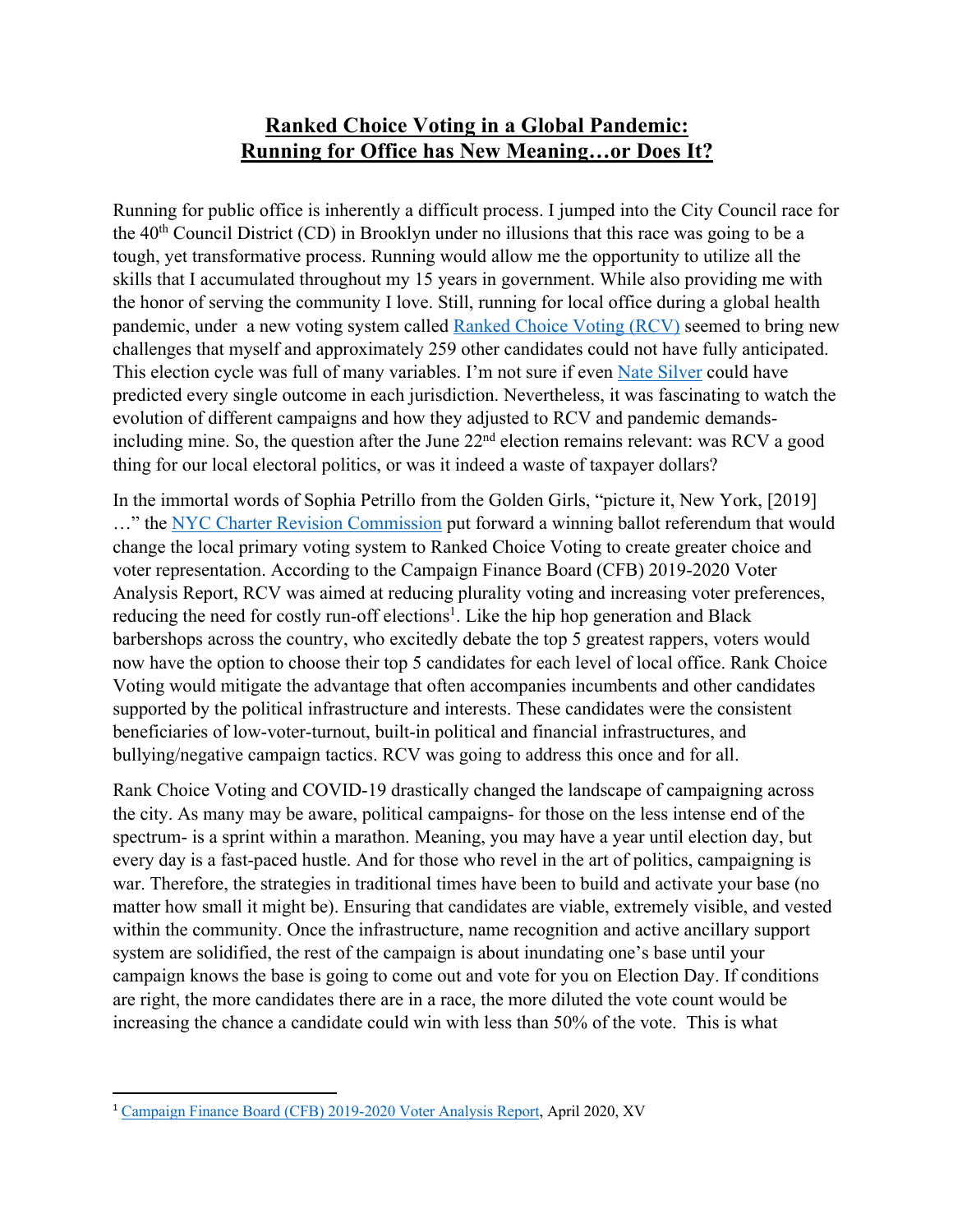## **Ranked Choice Voting in a Global Pandemic: Running for Office has New Meaning…or Does It?**

Running for public office is inherently a difficult process. I jumped into the City Council race for the  $40<sup>th</sup>$  Council District (CD) in Brooklyn under no illusions that this race was going to be a tough, yet transformative process. Running would allow me the opportunity to utilize all the skills that I accumulated throughout my 15 years in government. While also providing me with the honor of serving the community I love. Still, running for local office during a global health pandemic, under a new voting system called Ranked Choice Voting (RCV) seemed to bring new challenges that myself and approximately 259 other candidates could not have fully anticipated. This election cycle was full of many variables. I'm not sure if even Nate Silver could have predicted every single outcome in each jurisdiction. Nevertheless, it was fascinating to watch the evolution of different campaigns and how they adjusted to RCV and pandemic demandsincluding mine. So, the question after the June  $22<sup>nd</sup>$  election remains relevant: was RCV a good thing for our local electoral politics, or was it indeed a waste of taxpayer dollars?

In the immortal words of Sophia Petrillo from the Golden Girls, "picture it, New York, [2019] …" the NYC Charter Revision Commission put forward a winning ballot referendum that would change the local primary voting system to Ranked Choice Voting to create greater choice and voter representation. According to the Campaign Finance Board (CFB) 2019-2020 Voter Analysis Report, RCV was aimed at reducing plurality voting and increasing voter preferences, reducing the need for costly run-off elections<sup>1</sup>. Like the hip hop generation and Black barbershops across the country, who excitedly debate the top 5 greatest rappers, voters would now have the option to choose their top 5 candidates for each level of local office. Rank Choice Voting would mitigate the advantage that often accompanies incumbents and other candidates supported by the political infrastructure and interests. These candidates were the consistent beneficiaries of low-voter-turnout, built-in political and financial infrastructures, and bullying/negative campaign tactics. RCV was going to address this once and for all.

Rank Choice Voting and COVID-19 drastically changed the landscape of campaigning across the city. As many may be aware, political campaigns- for those on the less intense end of the spectrum- is a sprint within a marathon. Meaning, you may have a year until election day, but every day is a fast-paced hustle. And for those who revel in the art of politics, campaigning is war. Therefore, the strategies in traditional times have been to build and activate your base (no matter how small it might be). Ensuring that candidates are viable, extremely visible, and vested within the community. Once the infrastructure, name recognition and active ancillary support system are solidified, the rest of the campaign is about inundating one's base until your campaign knows the base is going to come out and vote for you on Election Day. If conditions are right, the more candidates there are in a race, the more diluted the vote count would be increasing the chance a candidate could win with less than 50% of the vote. This is what

<sup>1</sup> Campaign Finance Board (CFB) 2019-2020 Voter Analysis Report, April 2020, XV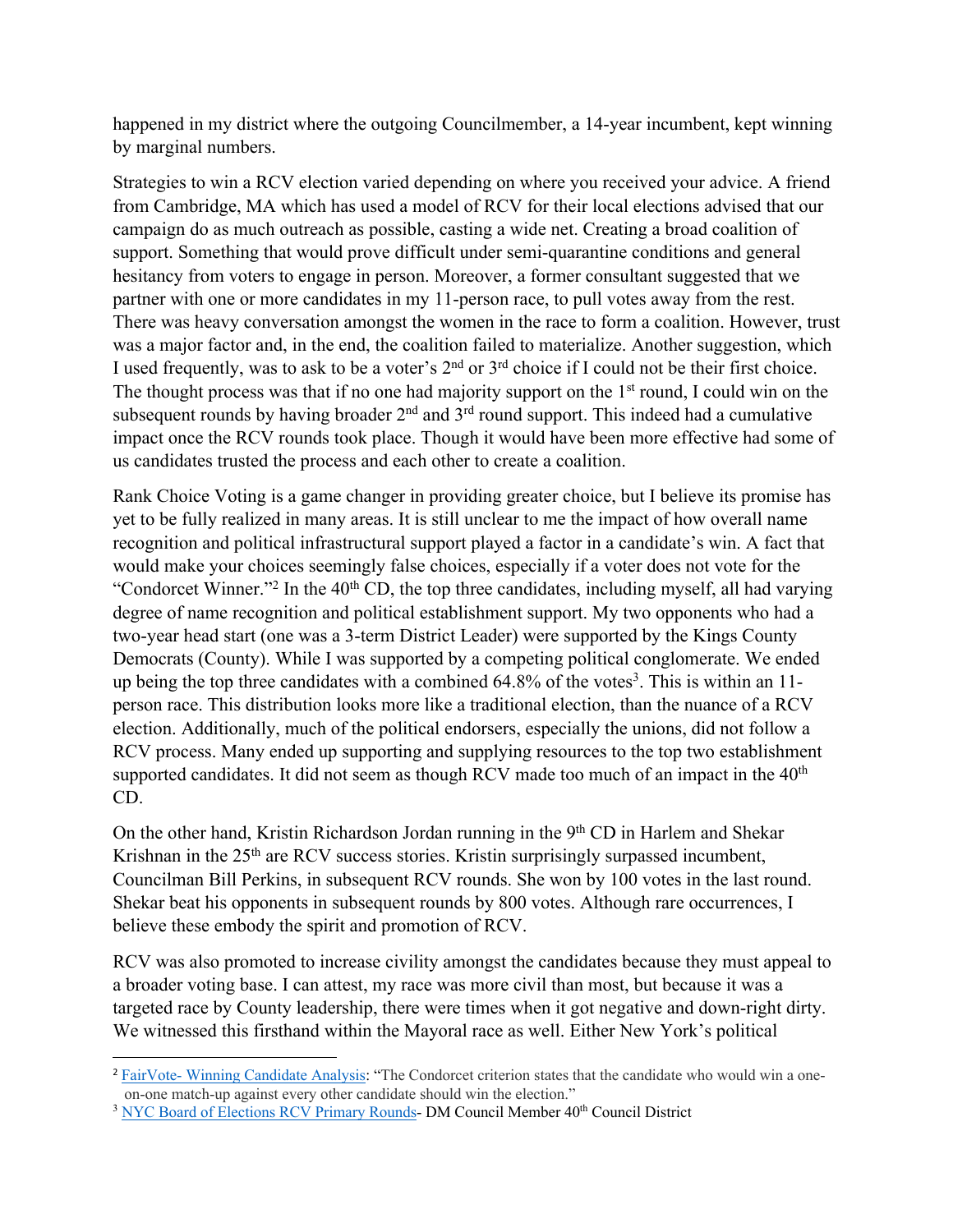happened in my district where the outgoing Councilmember, a 14-year incumbent, kept winning by marginal numbers.

Strategies to win a RCV election varied depending on where you received your advice. A friend from Cambridge, MA which has used a model of RCV for their local elections advised that our campaign do as much outreach as possible, casting a wide net. Creating a broad coalition of support. Something that would prove difficult under semi-quarantine conditions and general hesitancy from voters to engage in person. Moreover, a former consultant suggested that we partner with one or more candidates in my 11-person race, to pull votes away from the rest. There was heavy conversation amongst the women in the race to form a coalition. However, trust was a major factor and, in the end, the coalition failed to materialize. Another suggestion, which I used frequently, was to ask to be a voter's 2nd or 3rd choice if I could not be their first choice. The thought process was that if no one had majority support on the  $1<sup>st</sup>$  round, I could win on the subsequent rounds by having broader  $2<sup>nd</sup>$  and  $3<sup>rd</sup>$  round support. This indeed had a cumulative impact once the RCV rounds took place. Though it would have been more effective had some of us candidates trusted the process and each other to create a coalition.

Rank Choice Voting is a game changer in providing greater choice, but I believe its promise has yet to be fully realized in many areas. It is still unclear to me the impact of how overall name recognition and political infrastructural support played a factor in a candidate's win. A fact that would make your choices seemingly false choices, especially if a voter does not vote for the "Condorcet Winner."<sup>2</sup> In the  $40<sup>th</sup>$  CD, the top three candidates, including myself, all had varying degree of name recognition and political establishment support. My two opponents who had a two-year head start (one was a 3-term District Leader) were supported by the Kings County Democrats (County). While I was supported by a competing political conglomerate. We ended up being the top three candidates with a combined  $64.8\%$  of the votes<sup>3</sup>. This is within an 11person race. This distribution looks more like a traditional election, than the nuance of a RCV election. Additionally, much of the political endorsers, especially the unions, did not follow a RCV process. Many ended up supporting and supplying resources to the top two establishment supported candidates. It did not seem as though RCV made too much of an impact in the 40<sup>th</sup> CD.

On the other hand, Kristin Richardson Jordan running in the 9<sup>th</sup> CD in Harlem and Shekar Krishnan in the  $25<sup>th</sup>$  are RCV success stories. Kristin surprisingly surpassed incumbent, Councilman Bill Perkins, in subsequent RCV rounds. She won by 100 votes in the last round. Shekar beat his opponents in subsequent rounds by 800 votes. Although rare occurrences, I believe these embody the spirit and promotion of RCV.

RCV was also promoted to increase civility amongst the candidates because they must appeal to a broader voting base. I can attest, my race was more civil than most, but because it was a targeted race by County leadership, there were times when it got negative and down-right dirty. We witnessed this firsthand within the Mayoral race as well. Either New York's political

<sup>2</sup> FairVote- Winning Candidate Analysis: "The Condorcet criterion states that the candidate who would win a one on-one match-up against every other candidate should win the election."

<sup>&</sup>lt;sup>3</sup> NYC Board of Elections RCV Primary Rounds- DM Council Member 40<sup>th</sup> Council District